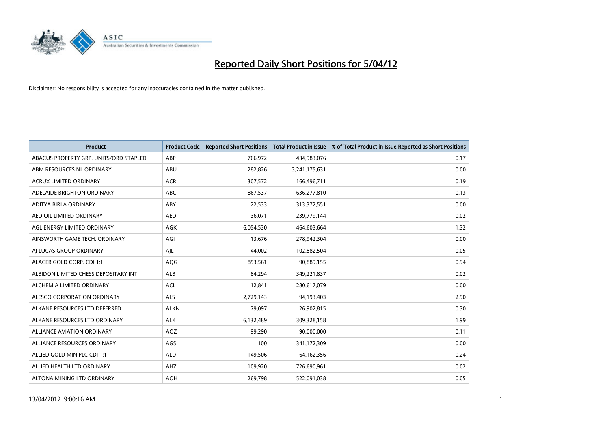

| <b>Product</b>                         | <b>Product Code</b> | <b>Reported Short Positions</b> | <b>Total Product in Issue</b> | % of Total Product in Issue Reported as Short Positions |
|----------------------------------------|---------------------|---------------------------------|-------------------------------|---------------------------------------------------------|
| ABACUS PROPERTY GRP. UNITS/ORD STAPLED | ABP                 | 766,972                         | 434,983,076                   | 0.17                                                    |
| ABM RESOURCES NL ORDINARY              | ABU                 | 282,826                         | 3,241,175,631                 | 0.00                                                    |
| <b>ACRUX LIMITED ORDINARY</b>          | <b>ACR</b>          | 307,572                         | 166,496,711                   | 0.19                                                    |
| ADELAIDE BRIGHTON ORDINARY             | <b>ABC</b>          | 867,537                         | 636,277,810                   | 0.13                                                    |
| ADITYA BIRLA ORDINARY                  | ABY                 | 22,533                          | 313,372,551                   | 0.00                                                    |
| AED OIL LIMITED ORDINARY               | <b>AED</b>          | 36,071                          | 239,779,144                   | 0.02                                                    |
| AGL ENERGY LIMITED ORDINARY            | AGK                 | 6,054,530                       | 464,603,664                   | 1.32                                                    |
| AINSWORTH GAME TECH. ORDINARY          | AGI                 | 13,676                          | 278,942,304                   | 0.00                                                    |
| AI LUCAS GROUP ORDINARY                | AJL                 | 44,002                          | 102,882,504                   | 0.05                                                    |
| ALACER GOLD CORP. CDI 1:1              | AQG                 | 853,561                         | 90,889,155                    | 0.94                                                    |
| ALBIDON LIMITED CHESS DEPOSITARY INT   | ALB                 | 84,294                          | 349,221,837                   | 0.02                                                    |
| ALCHEMIA LIMITED ORDINARY              | <b>ACL</b>          | 12,841                          | 280,617,079                   | 0.00                                                    |
| ALESCO CORPORATION ORDINARY            | ALS                 | 2,729,143                       | 94,193,403                    | 2.90                                                    |
| ALKANE RESOURCES LTD DEFERRED          | <b>ALKN</b>         | 79,097                          | 26,902,815                    | 0.30                                                    |
| ALKANE RESOURCES LTD ORDINARY          | <b>ALK</b>          | 6,132,489                       | 309,328,158                   | 1.99                                                    |
| ALLIANCE AVIATION ORDINARY             | AQZ                 | 99,290                          | 90,000,000                    | 0.11                                                    |
| ALLIANCE RESOURCES ORDINARY            | AGS                 | 100                             | 341,172,309                   | 0.00                                                    |
| ALLIED GOLD MIN PLC CDI 1:1            | <b>ALD</b>          | 149,506                         | 64,162,356                    | 0.24                                                    |
| ALLIED HEALTH LTD ORDINARY             | AHZ                 | 109,920                         | 726,690,961                   | 0.02                                                    |
| ALTONA MINING LTD ORDINARY             | <b>AOH</b>          | 269,798                         | 522,091,038                   | 0.05                                                    |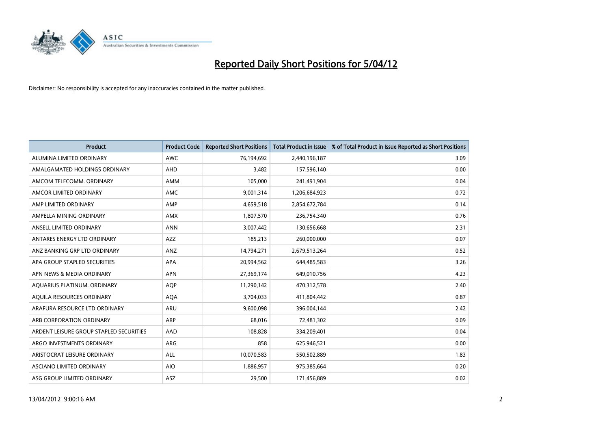

| <b>Product</b>                          | <b>Product Code</b> | <b>Reported Short Positions</b> | <b>Total Product in Issue</b> | % of Total Product in Issue Reported as Short Positions |
|-----------------------------------------|---------------------|---------------------------------|-------------------------------|---------------------------------------------------------|
| ALUMINA LIMITED ORDINARY                | <b>AWC</b>          | 76,194,692                      | 2,440,196,187                 | 3.09                                                    |
| AMALGAMATED HOLDINGS ORDINARY           | AHD                 | 3,482                           | 157,596,140                   | 0.00                                                    |
| AMCOM TELECOMM, ORDINARY                | AMM                 | 105,000                         | 241,491,904                   | 0.04                                                    |
| AMCOR LIMITED ORDINARY                  | <b>AMC</b>          | 9,001,314                       | 1,206,684,923                 | 0.72                                                    |
| AMP LIMITED ORDINARY                    | AMP                 | 4,659,518                       | 2,854,672,784                 | 0.14                                                    |
| AMPELLA MINING ORDINARY                 | <b>AMX</b>          | 1,807,570                       | 236,754,340                   | 0.76                                                    |
| ANSELL LIMITED ORDINARY                 | <b>ANN</b>          | 3,007,442                       | 130,656,668                   | 2.31                                                    |
| ANTARES ENERGY LTD ORDINARY             | AZZ                 | 185,213                         | 260,000,000                   | 0.07                                                    |
| ANZ BANKING GRP LTD ORDINARY            | ANZ                 | 14,794,271                      | 2,679,513,264                 | 0.52                                                    |
| APA GROUP STAPLED SECURITIES            | <b>APA</b>          | 20,994,562                      | 644,485,583                   | 3.26                                                    |
| APN NEWS & MEDIA ORDINARY               | <b>APN</b>          | 27,369,174                      | 649,010,756                   | 4.23                                                    |
| AQUARIUS PLATINUM. ORDINARY             | <b>AOP</b>          | 11,290,142                      | 470,312,578                   | 2.40                                                    |
| AQUILA RESOURCES ORDINARY               | <b>AQA</b>          | 3,704,033                       | 411,804,442                   | 0.87                                                    |
| ARAFURA RESOURCE LTD ORDINARY           | <b>ARU</b>          | 9,600,098                       | 396,004,144                   | 2.42                                                    |
| ARB CORPORATION ORDINARY                | <b>ARP</b>          | 68,016                          | 72,481,302                    | 0.09                                                    |
| ARDENT LEISURE GROUP STAPLED SECURITIES | AAD                 | 108,828                         | 334,209,401                   | 0.04                                                    |
| ARGO INVESTMENTS ORDINARY               | ARG                 | 858                             | 625,946,521                   | 0.00                                                    |
| ARISTOCRAT LEISURE ORDINARY             | ALL                 | 10,070,583                      | 550,502,889                   | 1.83                                                    |
| ASCIANO LIMITED ORDINARY                | <b>AIO</b>          | 1,886,957                       | 975,385,664                   | 0.20                                                    |
| ASG GROUP LIMITED ORDINARY              | ASZ                 | 29,500                          | 171,456,889                   | 0.02                                                    |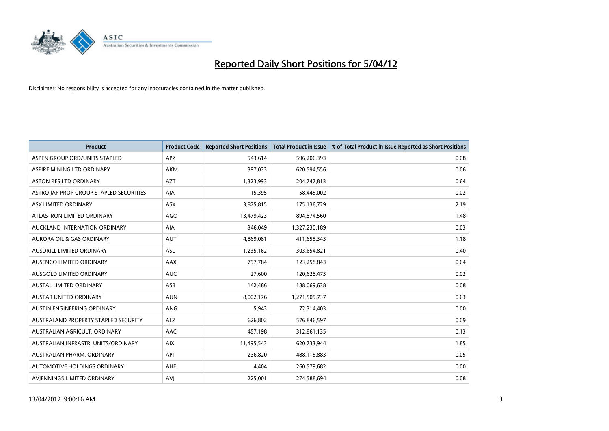

| <b>Product</b>                          | <b>Product Code</b> | <b>Reported Short Positions</b> | <b>Total Product in Issue</b> | % of Total Product in Issue Reported as Short Positions |
|-----------------------------------------|---------------------|---------------------------------|-------------------------------|---------------------------------------------------------|
| ASPEN GROUP ORD/UNITS STAPLED           | <b>APZ</b>          | 543,614                         | 596,206,393                   | 0.08                                                    |
| ASPIRE MINING LTD ORDINARY              | <b>AKM</b>          | 397,033                         | 620,594,556                   | 0.06                                                    |
| <b>ASTON RES LTD ORDINARY</b>           | <b>AZT</b>          | 1,323,993                       | 204,747,813                   | 0.64                                                    |
| ASTRO JAP PROP GROUP STAPLED SECURITIES | AJA                 | 15,395                          | 58,445,002                    | 0.02                                                    |
| ASX LIMITED ORDINARY                    | ASX                 | 3,875,815                       | 175,136,729                   | 2.19                                                    |
| ATLAS IRON LIMITED ORDINARY             | <b>AGO</b>          | 13,479,423                      | 894,874,560                   | 1.48                                                    |
| AUCKLAND INTERNATION ORDINARY           | AIA                 | 346,049                         | 1,327,230,189                 | 0.03                                                    |
| AURORA OIL & GAS ORDINARY               | AUT                 | 4,869,081                       | 411,655,343                   | 1.18                                                    |
| AUSDRILL LIMITED ORDINARY               | <b>ASL</b>          | 1,235,162                       | 303,654,821                   | 0.40                                                    |
| AUSENCO LIMITED ORDINARY                | AAX                 | 797,784                         | 123,258,843                   | 0.64                                                    |
| AUSGOLD LIMITED ORDINARY                | <b>AUC</b>          | 27,600                          | 120,628,473                   | 0.02                                                    |
| <b>AUSTAL LIMITED ORDINARY</b>          | ASB                 | 142,486                         | 188,069,638                   | 0.08                                                    |
| AUSTAR UNITED ORDINARY                  | <b>AUN</b>          | 8,002,176                       | 1,271,505,737                 | 0.63                                                    |
| AUSTIN ENGINEERING ORDINARY             | ANG                 | 5,943                           | 72,314,403                    | 0.00                                                    |
| AUSTRALAND PROPERTY STAPLED SECURITY    | <b>ALZ</b>          | 626,802                         | 576,846,597                   | 0.09                                                    |
| AUSTRALIAN AGRICULT. ORDINARY           | AAC                 | 457,198                         | 312,861,135                   | 0.13                                                    |
| AUSTRALIAN INFRASTR. UNITS/ORDINARY     | <b>AIX</b>          | 11,495,543                      | 620,733,944                   | 1.85                                                    |
| AUSTRALIAN PHARM, ORDINARY              | API                 | 236,820                         | 488,115,883                   | 0.05                                                    |
| AUTOMOTIVE HOLDINGS ORDINARY            | AHE                 | 4,404                           | 260,579,682                   | 0.00                                                    |
| AVIENNINGS LIMITED ORDINARY             | <b>AVJ</b>          | 225,001                         | 274,588,694                   | 0.08                                                    |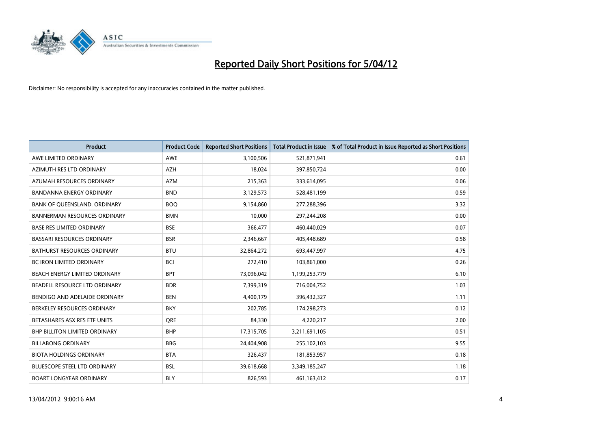

| <b>Product</b>                       | <b>Product Code</b> | <b>Reported Short Positions</b> | <b>Total Product in Issue</b> | % of Total Product in Issue Reported as Short Positions |
|--------------------------------------|---------------------|---------------------------------|-------------------------------|---------------------------------------------------------|
| AWE LIMITED ORDINARY                 | <b>AWE</b>          | 3,100,506                       | 521,871,941                   | 0.61                                                    |
| AZIMUTH RES LTD ORDINARY             | AZH                 | 18,024                          | 397,850,724                   | 0.00                                                    |
| AZUMAH RESOURCES ORDINARY            | <b>AZM</b>          | 215,363                         | 333,614,095                   | 0.06                                                    |
| BANDANNA ENERGY ORDINARY             | <b>BND</b>          | 3,129,573                       | 528,481,199                   | 0.59                                                    |
| BANK OF QUEENSLAND. ORDINARY         | <b>BOQ</b>          | 9,154,860                       | 277,288,396                   | 3.32                                                    |
| <b>BANNERMAN RESOURCES ORDINARY</b>  | <b>BMN</b>          | 10,000                          | 297,244,208                   | 0.00                                                    |
| <b>BASE RES LIMITED ORDINARY</b>     | <b>BSE</b>          | 366,477                         | 460,440,029                   | 0.07                                                    |
| BASSARI RESOURCES ORDINARY           | <b>BSR</b>          | 2,346,667                       | 405,448,689                   | 0.58                                                    |
| <b>BATHURST RESOURCES ORDINARY</b>   | <b>BTU</b>          | 32,864,272                      | 693,447,997                   | 4.75                                                    |
| <b>BC IRON LIMITED ORDINARY</b>      | <b>BCI</b>          | 272,410                         | 103,861,000                   | 0.26                                                    |
| BEACH ENERGY LIMITED ORDINARY        | <b>BPT</b>          | 73,096,042                      | 1,199,253,779                 | 6.10                                                    |
| BEADELL RESOURCE LTD ORDINARY        | <b>BDR</b>          | 7,399,319                       | 716,004,752                   | 1.03                                                    |
| BENDIGO AND ADELAIDE ORDINARY        | <b>BEN</b>          | 4,400,179                       | 396,432,327                   | 1.11                                                    |
| BERKELEY RESOURCES ORDINARY          | <b>BKY</b>          | 202,785                         | 174,298,273                   | 0.12                                                    |
| BETASHARES ASX RES ETF UNITS         | <b>ORE</b>          | 84,330                          | 4,220,217                     | 2.00                                                    |
| <b>BHP BILLITON LIMITED ORDINARY</b> | <b>BHP</b>          | 17,315,705                      | 3,211,691,105                 | 0.51                                                    |
| <b>BILLABONG ORDINARY</b>            | BBG                 | 24,404,908                      | 255,102,103                   | 9.55                                                    |
| <b>BIOTA HOLDINGS ORDINARY</b>       | <b>BTA</b>          | 326,437                         | 181,853,957                   | 0.18                                                    |
| BLUESCOPE STEEL LTD ORDINARY         | <b>BSL</b>          | 39,618,668                      | 3,349,185,247                 | 1.18                                                    |
| <b>BOART LONGYEAR ORDINARY</b>       | <b>BLY</b>          | 826,593                         | 461,163,412                   | 0.17                                                    |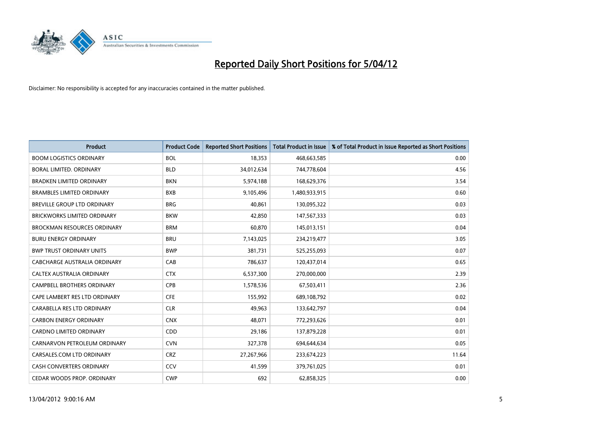

| <b>Product</b>                     | <b>Product Code</b> | <b>Reported Short Positions</b> | <b>Total Product in Issue</b> | % of Total Product in Issue Reported as Short Positions |
|------------------------------------|---------------------|---------------------------------|-------------------------------|---------------------------------------------------------|
| <b>BOOM LOGISTICS ORDINARY</b>     | <b>BOL</b>          | 18,353                          | 468,663,585                   | 0.00                                                    |
| BORAL LIMITED. ORDINARY            | <b>BLD</b>          | 34,012,634                      | 744,778,604                   | 4.56                                                    |
| <b>BRADKEN LIMITED ORDINARY</b>    | <b>BKN</b>          | 5,974,188                       | 168,629,376                   | 3.54                                                    |
| <b>BRAMBLES LIMITED ORDINARY</b>   | <b>BXB</b>          | 9,105,496                       | 1,480,933,915                 | 0.60                                                    |
| BREVILLE GROUP LTD ORDINARY        | <b>BRG</b>          | 40,861                          | 130,095,322                   | 0.03                                                    |
| <b>BRICKWORKS LIMITED ORDINARY</b> | <b>BKW</b>          | 42,850                          | 147,567,333                   | 0.03                                                    |
| <b>BROCKMAN RESOURCES ORDINARY</b> | <b>BRM</b>          | 60,870                          | 145,013,151                   | 0.04                                                    |
| <b>BURU ENERGY ORDINARY</b>        | <b>BRU</b>          | 7,143,025                       | 234,219,477                   | 3.05                                                    |
| <b>BWP TRUST ORDINARY UNITS</b>    | <b>BWP</b>          | 381,731                         | 525,255,093                   | 0.07                                                    |
| CABCHARGE AUSTRALIA ORDINARY       | CAB                 | 786,637                         | 120,437,014                   | 0.65                                                    |
| CALTEX AUSTRALIA ORDINARY          | <b>CTX</b>          | 6,537,300                       | 270,000,000                   | 2.39                                                    |
| <b>CAMPBELL BROTHERS ORDINARY</b>  | <b>CPB</b>          | 1,578,536                       | 67,503,411                    | 2.36                                                    |
| CAPE LAMBERT RES LTD ORDINARY      | <b>CFE</b>          | 155,992                         | 689,108,792                   | 0.02                                                    |
| CARABELLA RES LTD ORDINARY         | <b>CLR</b>          | 49,963                          | 133,642,797                   | 0.04                                                    |
| <b>CARBON ENERGY ORDINARY</b>      | <b>CNX</b>          | 48,071                          | 772,293,626                   | 0.01                                                    |
| CARDNO LIMITED ORDINARY            | CDD                 | 29,186                          | 137,879,228                   | 0.01                                                    |
| CARNARVON PETROLEUM ORDINARY       | <b>CVN</b>          | 327,378                         | 694,644,634                   | 0.05                                                    |
| CARSALES.COM LTD ORDINARY          | <b>CRZ</b>          | 27,267,966                      | 233,674,223                   | 11.64                                                   |
| <b>CASH CONVERTERS ORDINARY</b>    | CCV                 | 41,599                          | 379,761,025                   | 0.01                                                    |
| CEDAR WOODS PROP. ORDINARY         | <b>CWP</b>          | 692                             | 62,858,325                    | 0.00                                                    |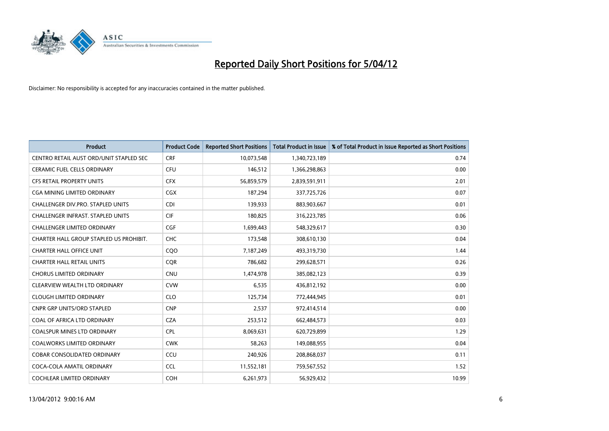

| <b>Product</b>                           | <b>Product Code</b> | <b>Reported Short Positions</b> | <b>Total Product in Issue</b> | % of Total Product in Issue Reported as Short Positions |
|------------------------------------------|---------------------|---------------------------------|-------------------------------|---------------------------------------------------------|
| CENTRO RETAIL AUST ORD/UNIT STAPLED SEC  | <b>CRF</b>          | 10,073,548                      | 1,340,723,189                 | 0.74                                                    |
| CERAMIC FUEL CELLS ORDINARY              | <b>CFU</b>          | 146,512                         | 1,366,298,863                 | 0.00                                                    |
| <b>CFS RETAIL PROPERTY UNITS</b>         | <b>CFX</b>          | 56,859,579                      | 2,839,591,911                 | 2.01                                                    |
| CGA MINING LIMITED ORDINARY              | <b>CGX</b>          | 187,294                         | 337,725,726                   | 0.07                                                    |
| CHALLENGER DIV.PRO. STAPLED UNITS        | CDI                 | 139,933                         | 883,903,667                   | 0.01                                                    |
| <b>CHALLENGER INFRAST, STAPLED UNITS</b> | <b>CIF</b>          | 180,825                         | 316,223,785                   | 0.06                                                    |
| <b>CHALLENGER LIMITED ORDINARY</b>       | <b>CGF</b>          | 1,699,443                       | 548,329,617                   | 0.30                                                    |
| CHARTER HALL GROUP STAPLED US PROHIBIT.  | <b>CHC</b>          | 173,548                         | 308,610,130                   | 0.04                                                    |
| <b>CHARTER HALL OFFICE UNIT</b>          | COO                 | 7,187,249                       | 493,319,730                   | 1.44                                                    |
| <b>CHARTER HALL RETAIL UNITS</b>         | <b>COR</b>          | 786,682                         | 299,628,571                   | 0.26                                                    |
| <b>CHORUS LIMITED ORDINARY</b>           | <b>CNU</b>          | 1,474,978                       | 385,082,123                   | 0.39                                                    |
| CLEARVIEW WEALTH LTD ORDINARY            | <b>CVW</b>          | 6,535                           | 436,812,192                   | 0.00                                                    |
| <b>CLOUGH LIMITED ORDINARY</b>           | <b>CLO</b>          | 125,734                         | 772,444,945                   | 0.01                                                    |
| <b>CNPR GRP UNITS/ORD STAPLED</b>        | <b>CNP</b>          | 2,537                           | 972,414,514                   | 0.00                                                    |
| COAL OF AFRICA LTD ORDINARY              | <b>CZA</b>          | 253,512                         | 662,484,573                   | 0.03                                                    |
| <b>COALSPUR MINES LTD ORDINARY</b>       | <b>CPL</b>          | 8,069,631                       | 620,729,899                   | 1.29                                                    |
| <b>COALWORKS LIMITED ORDINARY</b>        | <b>CWK</b>          | 58,263                          | 149,088,955                   | 0.04                                                    |
| <b>COBAR CONSOLIDATED ORDINARY</b>       | CCU                 | 240,926                         | 208,868,037                   | 0.11                                                    |
| COCA-COLA AMATIL ORDINARY                | <b>CCL</b>          | 11,552,181                      | 759,567,552                   | 1.52                                                    |
| <b>COCHLEAR LIMITED ORDINARY</b>         | <b>COH</b>          | 6,261,973                       | 56,929,432                    | 10.99                                                   |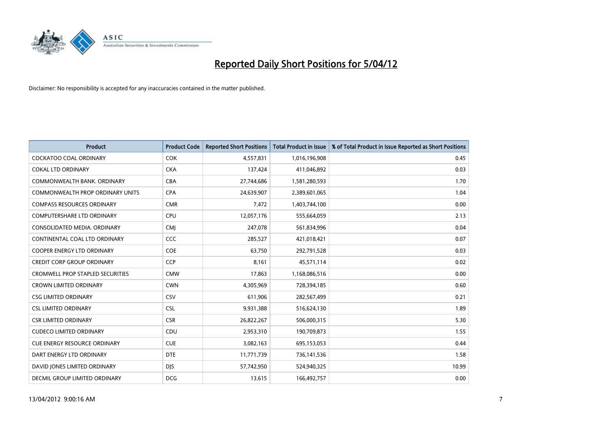

| <b>Product</b>                          | <b>Product Code</b> | <b>Reported Short Positions</b> | <b>Total Product in Issue</b> | % of Total Product in Issue Reported as Short Positions |
|-----------------------------------------|---------------------|---------------------------------|-------------------------------|---------------------------------------------------------|
| <b>COCKATOO COAL ORDINARY</b>           | <b>COK</b>          | 4,557,831                       | 1,016,196,908                 | 0.45                                                    |
| <b>COKAL LTD ORDINARY</b>               | <b>CKA</b>          | 137,424                         | 411,046,892                   | 0.03                                                    |
| COMMONWEALTH BANK, ORDINARY             | <b>CBA</b>          | 27,744,686                      | 1,581,280,593                 | 1.70                                                    |
| <b>COMMONWEALTH PROP ORDINARY UNITS</b> | <b>CPA</b>          | 24,639,907                      | 2,389,601,065                 | 1.04                                                    |
| <b>COMPASS RESOURCES ORDINARY</b>       | <b>CMR</b>          | 7,472                           | 1,403,744,100                 | 0.00                                                    |
| <b>COMPUTERSHARE LTD ORDINARY</b>       | <b>CPU</b>          | 12,057,176                      | 555,664,059                   | 2.13                                                    |
| CONSOLIDATED MEDIA, ORDINARY            | <b>CMI</b>          | 247,078                         | 561,834,996                   | 0.04                                                    |
| CONTINENTAL COAL LTD ORDINARY           | CCC                 | 285,527                         | 421,018,421                   | 0.07                                                    |
| <b>COOPER ENERGY LTD ORDINARY</b>       | <b>COE</b>          | 63,750                          | 292,791,528                   | 0.03                                                    |
| <b>CREDIT CORP GROUP ORDINARY</b>       | <b>CCP</b>          | 8,161                           | 45,571,114                    | 0.02                                                    |
| <b>CROMWELL PROP STAPLED SECURITIES</b> | <b>CMW</b>          | 17,863                          | 1,168,086,516                 | 0.00                                                    |
| <b>CROWN LIMITED ORDINARY</b>           | <b>CWN</b>          | 4,305,969                       | 728,394,185                   | 0.60                                                    |
| <b>CSG LIMITED ORDINARY</b>             | <b>CSV</b>          | 611,906                         | 282,567,499                   | 0.21                                                    |
| <b>CSL LIMITED ORDINARY</b>             | <b>CSL</b>          | 9,931,388                       | 516,624,130                   | 1.89                                                    |
| <b>CSR LIMITED ORDINARY</b>             | <b>CSR</b>          | 26,822,267                      | 506,000,315                   | 5.30                                                    |
| <b>CUDECO LIMITED ORDINARY</b>          | CDU                 | 2,953,310                       | 190,709,873                   | 1.55                                                    |
| CUE ENERGY RESOURCE ORDINARY            | <b>CUE</b>          | 3,082,163                       | 695,153,053                   | 0.44                                                    |
| DART ENERGY LTD ORDINARY                | <b>DTE</b>          | 11,771,739                      | 736,141,536                   | 1.58                                                    |
| DAVID JONES LIMITED ORDINARY            | <b>DJS</b>          | 57,742,950                      | 524,940,325                   | 10.99                                                   |
| DECMIL GROUP LIMITED ORDINARY           | <b>DCG</b>          | 13,615                          | 166,492,757                   | 0.00                                                    |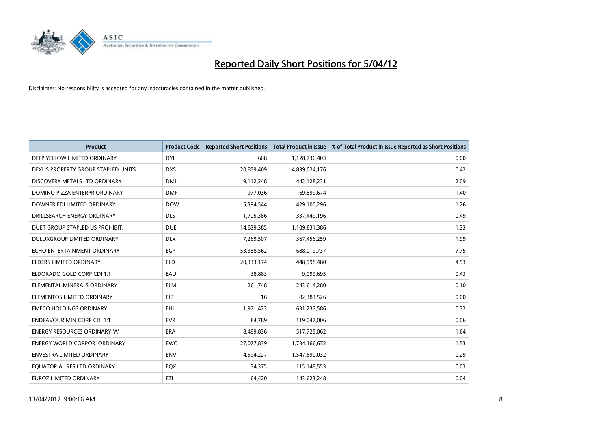

| <b>Product</b>                       | <b>Product Code</b> | <b>Reported Short Positions</b> | <b>Total Product in Issue</b> | % of Total Product in Issue Reported as Short Positions |
|--------------------------------------|---------------------|---------------------------------|-------------------------------|---------------------------------------------------------|
| DEEP YELLOW LIMITED ORDINARY         | <b>DYL</b>          | 668                             | 1,128,736,403                 | 0.00                                                    |
| DEXUS PROPERTY GROUP STAPLED UNITS   | <b>DXS</b>          | 20,859,409                      | 4,839,024,176                 | 0.42                                                    |
| DISCOVERY METALS LTD ORDINARY        | <b>DML</b>          | 9,112,248                       | 442,128,231                   | 2.09                                                    |
| DOMINO PIZZA ENTERPR ORDINARY        | <b>DMP</b>          | 977,036                         | 69,899,674                    | 1.40                                                    |
| DOWNER EDI LIMITED ORDINARY          | <b>DOW</b>          | 5,394,544                       | 429,100,296                   | 1.26                                                    |
| DRILLSEARCH ENERGY ORDINARY          | <b>DLS</b>          | 1,705,386                       | 337,449,196                   | 0.49                                                    |
| DUET GROUP STAPLED US PROHIBIT.      | <b>DUE</b>          | 14,639,385                      | 1,109,831,386                 | 1.33                                                    |
| DULUXGROUP LIMITED ORDINARY          | <b>DLX</b>          | 7,269,507                       | 367,456,259                   | 1.99                                                    |
| ECHO ENTERTAINMENT ORDINARY          | <b>EGP</b>          | 53,388,562                      | 688,019,737                   | 7.75                                                    |
| <b>ELDERS LIMITED ORDINARY</b>       | <b>ELD</b>          | 20,333,174                      | 448,598,480                   | 4.53                                                    |
| ELDORADO GOLD CORP CDI 1:1           | EAU                 | 38,883                          | 9,099,695                     | 0.43                                                    |
| ELEMENTAL MINERALS ORDINARY          | <b>ELM</b>          | 261,748                         | 243,614,280                   | 0.10                                                    |
| ELEMENTOS LIMITED ORDINARY           | <b>ELT</b>          | 16                              | 82,383,526                    | 0.00                                                    |
| <b>EMECO HOLDINGS ORDINARY</b>       | EHL                 | 1,971,423                       | 631,237,586                   | 0.32                                                    |
| <b>ENDEAVOUR MIN CORP CDI 1:1</b>    | <b>EVR</b>          | 84,789                          | 119,047,006                   | 0.06                                                    |
| <b>ENERGY RESOURCES ORDINARY 'A'</b> | ERA                 | 8,489,836                       | 517,725,062                   | 1.64                                                    |
| <b>ENERGY WORLD CORPOR. ORDINARY</b> | <b>EWC</b>          | 27,077,839                      | 1,734,166,672                 | 1.53                                                    |
| ENVESTRA LIMITED ORDINARY            | <b>ENV</b>          | 4,594,227                       | 1,547,890,032                 | 0.29                                                    |
| EQUATORIAL RES LTD ORDINARY          | EQX                 | 34,375                          | 115,148,553                   | 0.03                                                    |
| EUROZ LIMITED ORDINARY               | EZL                 | 64,420                          | 143,623,248                   | 0.04                                                    |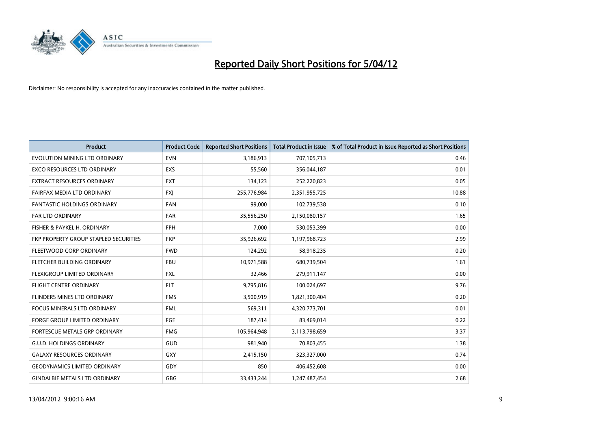

| <b>Product</b>                        | <b>Product Code</b> | <b>Reported Short Positions</b> | <b>Total Product in Issue</b> | % of Total Product in Issue Reported as Short Positions |
|---------------------------------------|---------------------|---------------------------------|-------------------------------|---------------------------------------------------------|
| EVOLUTION MINING LTD ORDINARY         | <b>EVN</b>          | 3,186,913                       | 707,105,713                   | 0.46                                                    |
| EXCO RESOURCES LTD ORDINARY           | <b>EXS</b>          | 55,560                          | 356,044,187                   | 0.01                                                    |
| EXTRACT RESOURCES ORDINARY            | <b>EXT</b>          | 134,123                         | 252,220,823                   | 0.05                                                    |
| FAIRFAX MEDIA LTD ORDINARY            | <b>FXI</b>          | 255,776,984                     | 2,351,955,725                 | 10.88                                                   |
| <b>FANTASTIC HOLDINGS ORDINARY</b>    | <b>FAN</b>          | 99,000                          | 102,739,538                   | 0.10                                                    |
| FAR LTD ORDINARY                      | <b>FAR</b>          | 35,556,250                      | 2,150,080,157                 | 1.65                                                    |
| FISHER & PAYKEL H. ORDINARY           | <b>FPH</b>          | 7,000                           | 530,053,399                   | 0.00                                                    |
| FKP PROPERTY GROUP STAPLED SECURITIES | <b>FKP</b>          | 35,926,692                      | 1,197,968,723                 | 2.99                                                    |
| FLEETWOOD CORP ORDINARY               | <b>FWD</b>          | 124,292                         | 58,918,235                    | 0.20                                                    |
| FLETCHER BUILDING ORDINARY            | <b>FBU</b>          | 10,971,588                      | 680,739,504                   | 1.61                                                    |
| FLEXIGROUP LIMITED ORDINARY           | <b>FXL</b>          | 32,466                          | 279,911,147                   | 0.00                                                    |
| <b>FLIGHT CENTRE ORDINARY</b>         | <b>FLT</b>          | 9,795,816                       | 100,024,697                   | 9.76                                                    |
| FLINDERS MINES LTD ORDINARY           | <b>FMS</b>          | 3,500,919                       | 1,821,300,404                 | 0.20                                                    |
| <b>FOCUS MINERALS LTD ORDINARY</b>    | <b>FML</b>          | 569,311                         | 4,320,773,701                 | 0.01                                                    |
| <b>FORGE GROUP LIMITED ORDINARY</b>   | FGE                 | 187,414                         | 83,469,014                    | 0.22                                                    |
| FORTESCUE METALS GRP ORDINARY         | <b>FMG</b>          | 105,964,948                     | 3,113,798,659                 | 3.37                                                    |
| <b>G.U.D. HOLDINGS ORDINARY</b>       | GUD                 | 981,940                         | 70,803,455                    | 1.38                                                    |
| <b>GALAXY RESOURCES ORDINARY</b>      | GXY                 | 2,415,150                       | 323,327,000                   | 0.74                                                    |
| <b>GEODYNAMICS LIMITED ORDINARY</b>   | GDY                 | 850                             | 406,452,608                   | 0.00                                                    |
| <b>GINDALBIE METALS LTD ORDINARY</b>  | GBG                 | 33,433,244                      | 1,247,487,454                 | 2.68                                                    |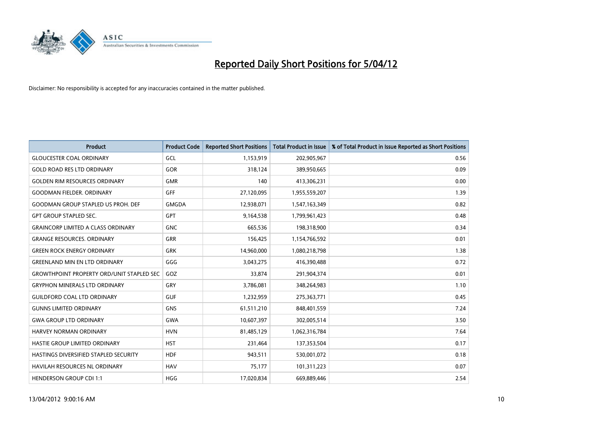

| <b>Product</b>                                   | <b>Product Code</b> | <b>Reported Short Positions</b> | <b>Total Product in Issue</b> | % of Total Product in Issue Reported as Short Positions |
|--------------------------------------------------|---------------------|---------------------------------|-------------------------------|---------------------------------------------------------|
| <b>GLOUCESTER COAL ORDINARY</b>                  | GCL                 | 1,153,919                       | 202,905,967                   | 0.56                                                    |
| <b>GOLD ROAD RES LTD ORDINARY</b>                | GOR                 | 318,124                         | 389,950,665                   | 0.09                                                    |
| <b>GOLDEN RIM RESOURCES ORDINARY</b>             | <b>GMR</b>          | 140                             | 413,306,231                   | 0.00                                                    |
| <b>GOODMAN FIELDER. ORDINARY</b>                 | <b>GFF</b>          | 27,120,095                      | 1,955,559,207                 | 1.39                                                    |
| <b>GOODMAN GROUP STAPLED US PROH. DEF</b>        | <b>GMGDA</b>        | 12,938,071                      | 1,547,163,349                 | 0.82                                                    |
| <b>GPT GROUP STAPLED SEC.</b>                    | <b>GPT</b>          | 9,164,538                       | 1,799,961,423                 | 0.48                                                    |
| <b>GRAINCORP LIMITED A CLASS ORDINARY</b>        | <b>GNC</b>          | 665,536                         | 198,318,900                   | 0.34                                                    |
| <b>GRANGE RESOURCES. ORDINARY</b>                | GRR                 | 156,425                         | 1,154,766,592                 | 0.01                                                    |
| <b>GREEN ROCK ENERGY ORDINARY</b>                | <b>GRK</b>          | 14,960,000                      | 1,080,218,798                 | 1.38                                                    |
| <b>GREENLAND MIN EN LTD ORDINARY</b>             | GGG                 | 3,043,275                       | 416,390,488                   | 0.72                                                    |
| <b>GROWTHPOINT PROPERTY ORD/UNIT STAPLED SEC</b> | GOZ                 | 33,874                          | 291,904,374                   | 0.01                                                    |
| <b>GRYPHON MINERALS LTD ORDINARY</b>             | <b>GRY</b>          | 3,786,081                       | 348,264,983                   | 1.10                                                    |
| <b>GUILDFORD COAL LTD ORDINARY</b>               | <b>GUF</b>          | 1,232,959                       | 275,363,771                   | 0.45                                                    |
| <b>GUNNS LIMITED ORDINARY</b>                    | <b>GNS</b>          | 61,511,210                      | 848,401,559                   | 7.24                                                    |
| <b>GWA GROUP LTD ORDINARY</b>                    | <b>GWA</b>          | 10,607,397                      | 302,005,514                   | 3.50                                                    |
| <b>HARVEY NORMAN ORDINARY</b>                    | <b>HVN</b>          | 81,485,129                      | 1,062,316,784                 | 7.64                                                    |
| HASTIE GROUP LIMITED ORDINARY                    | <b>HST</b>          | 231,464                         | 137,353,504                   | 0.17                                                    |
| HASTINGS DIVERSIFIED STAPLED SECURITY            | <b>HDF</b>          | 943,511                         | 530,001,072                   | 0.18                                                    |
| <b>HAVILAH RESOURCES NL ORDINARY</b>             | <b>HAV</b>          | 75,177                          | 101,311,223                   | 0.07                                                    |
| <b>HENDERSON GROUP CDI 1:1</b>                   | <b>HGG</b>          | 17,020,834                      | 669,889,446                   | 2.54                                                    |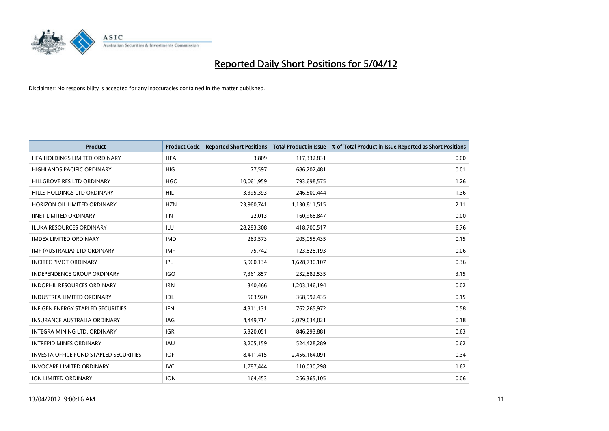

| <b>Product</b>                                | <b>Product Code</b> | <b>Reported Short Positions</b> | <b>Total Product in Issue</b> | % of Total Product in Issue Reported as Short Positions |
|-----------------------------------------------|---------------------|---------------------------------|-------------------------------|---------------------------------------------------------|
| HFA HOLDINGS LIMITED ORDINARY                 | <b>HFA</b>          | 3.809                           | 117,332,831                   | 0.00                                                    |
| HIGHLANDS PACIFIC ORDINARY                    | <b>HIG</b>          | 77,597                          | 686,202,481                   | 0.01                                                    |
| HILLGROVE RES LTD ORDINARY                    | <b>HGO</b>          | 10,061,959                      | 793,698,575                   | 1.26                                                    |
| HILLS HOLDINGS LTD ORDINARY                   | <b>HIL</b>          | 3,395,393                       | 246,500,444                   | 1.36                                                    |
| HORIZON OIL LIMITED ORDINARY                  | <b>HZN</b>          | 23,960,741                      | 1,130,811,515                 | 2.11                                                    |
| <b>IINET LIMITED ORDINARY</b>                 | <b>IIN</b>          | 22,013                          | 160,968,847                   | 0.00                                                    |
| <b>ILUKA RESOURCES ORDINARY</b>               | <b>ILU</b>          | 28,283,308                      | 418,700,517                   | 6.76                                                    |
| <b>IMDEX LIMITED ORDINARY</b>                 | <b>IMD</b>          | 283,573                         | 205,055,435                   | 0.15                                                    |
| IMF (AUSTRALIA) LTD ORDINARY                  | <b>IMF</b>          | 75,742                          | 123,828,193                   | 0.06                                                    |
| <b>INCITEC PIVOT ORDINARY</b>                 | IPL                 | 5,960,134                       | 1,628,730,107                 | 0.36                                                    |
| INDEPENDENCE GROUP ORDINARY                   | <b>IGO</b>          | 7,361,857                       | 232,882,535                   | 3.15                                                    |
| <b>INDOPHIL RESOURCES ORDINARY</b>            | <b>IRN</b>          | 340,466                         | 1,203,146,194                 | 0.02                                                    |
| <b>INDUSTREA LIMITED ORDINARY</b>             | <b>IDL</b>          | 503,920                         | 368,992,435                   | 0.15                                                    |
| <b>INFIGEN ENERGY STAPLED SECURITIES</b>      | <b>IFN</b>          | 4,311,131                       | 762,265,972                   | 0.58                                                    |
| <b>INSURANCE AUSTRALIA ORDINARY</b>           | <b>IAG</b>          | 4,449,714                       | 2,079,034,021                 | 0.18                                                    |
| INTEGRA MINING LTD. ORDINARY                  | <b>IGR</b>          | 5,320,051                       | 846,293,881                   | 0.63                                                    |
| <b>INTREPID MINES ORDINARY</b>                | <b>IAU</b>          | 3,205,159                       | 524,428,289                   | 0.62                                                    |
| <b>INVESTA OFFICE FUND STAPLED SECURITIES</b> | <b>IOF</b>          | 8,411,415                       | 2,456,164,091                 | 0.34                                                    |
| <b>INVOCARE LIMITED ORDINARY</b>              | IVC                 | 1,787,444                       | 110,030,298                   | 1.62                                                    |
| ION LIMITED ORDINARY                          | <b>ION</b>          | 164,453                         | 256,365,105                   | 0.06                                                    |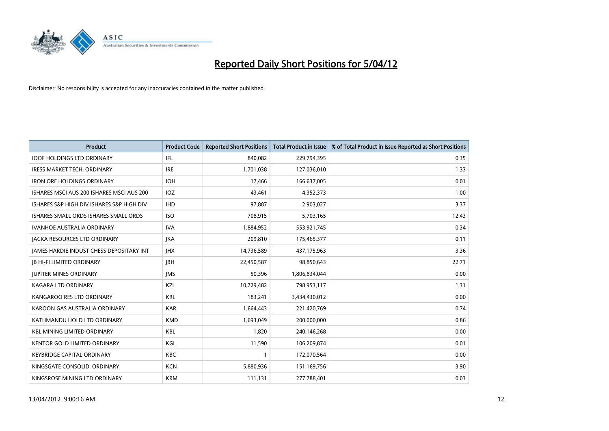

| <b>Product</b>                            | <b>Product Code</b> | <b>Reported Short Positions</b> | <b>Total Product in Issue</b> | % of Total Product in Issue Reported as Short Positions |
|-------------------------------------------|---------------------|---------------------------------|-------------------------------|---------------------------------------------------------|
| <b>IOOF HOLDINGS LTD ORDINARY</b>         | IFL                 | 840,082                         | 229,794,395                   | 0.35                                                    |
| IRESS MARKET TECH. ORDINARY               | <b>IRE</b>          | 1,701,038                       | 127,036,010                   | 1.33                                                    |
| <b>IRON ORE HOLDINGS ORDINARY</b>         | <b>IOH</b>          | 17,466                          | 166,637,005                   | 0.01                                                    |
| ISHARES MSCI AUS 200 ISHARES MSCI AUS 200 | IOZ.                | 43,461                          | 4,352,373                     | 1.00                                                    |
| ISHARES S&P HIGH DIV ISHARES S&P HIGH DIV | <b>IHD</b>          | 97,887                          | 2,903,027                     | 3.37                                                    |
| ISHARES SMALL ORDS ISHARES SMALL ORDS     | <b>ISO</b>          | 708,915                         | 5,703,165                     | 12.43                                                   |
| <b>IVANHOE AUSTRALIA ORDINARY</b>         | <b>IVA</b>          | 1,884,952                       | 553,921,745                   | 0.34                                                    |
| <b>JACKA RESOURCES LTD ORDINARY</b>       | <b>JKA</b>          | 209,810                         | 175,465,377                   | 0.11                                                    |
| JAMES HARDIE INDUST CHESS DEPOSITARY INT  | <b>IHX</b>          | 14,736,589                      | 437,175,963                   | 3.36                                                    |
| <b>JB HI-FI LIMITED ORDINARY</b>          | <b>JBH</b>          | 22,450,587                      | 98,850,643                    | 22.71                                                   |
| <b>JUPITER MINES ORDINARY</b>             | <b>IMS</b>          | 50,396                          | 1,806,834,044                 | 0.00                                                    |
| <b>KAGARA LTD ORDINARY</b>                | KZL                 | 10,729,482                      | 798,953,117                   | 1.31                                                    |
| KANGAROO RES LTD ORDINARY                 | <b>KRL</b>          | 183,241                         | 3,434,430,012                 | 0.00                                                    |
| KAROON GAS AUSTRALIA ORDINARY             | <b>KAR</b>          | 1,664,443                       | 221,420,769                   | 0.74                                                    |
| KATHMANDU HOLD LTD ORDINARY               | <b>KMD</b>          | 1,693,049                       | 200,000,000                   | 0.86                                                    |
| <b>KBL MINING LIMITED ORDINARY</b>        | KBL                 | 1,820                           | 240,146,268                   | 0.00                                                    |
| KENTOR GOLD LIMITED ORDINARY              | KGL                 | 11,590                          | 106,209,874                   | 0.01                                                    |
| <b>KEYBRIDGE CAPITAL ORDINARY</b>         | <b>KBC</b>          | 1                               | 172,070,564                   | 0.00                                                    |
| KINGSGATE CONSOLID, ORDINARY              | <b>KCN</b>          | 5,880,936                       | 151,169,756                   | 3.90                                                    |
| KINGSROSE MINING LTD ORDINARY             | <b>KRM</b>          | 111,131                         | 277,788,401                   | 0.03                                                    |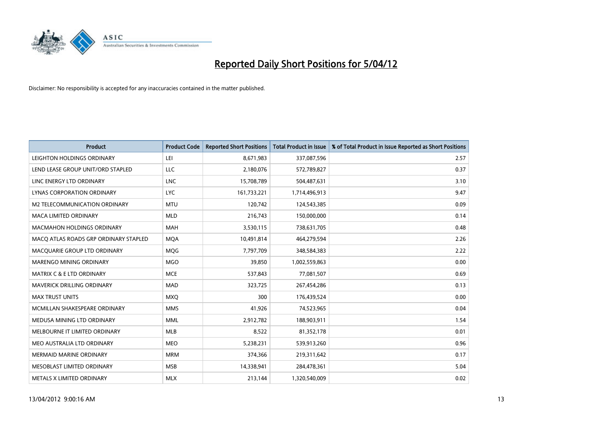

| <b>Product</b>                        | <b>Product Code</b> | <b>Reported Short Positions</b> | <b>Total Product in Issue</b> | % of Total Product in Issue Reported as Short Positions |
|---------------------------------------|---------------------|---------------------------------|-------------------------------|---------------------------------------------------------|
| LEIGHTON HOLDINGS ORDINARY            | LEI                 | 8,671,983                       | 337,087,596                   | 2.57                                                    |
| LEND LEASE GROUP UNIT/ORD STAPLED     | <b>LLC</b>          | 2,180,076                       | 572,789,827                   | 0.37                                                    |
| LINC ENERGY LTD ORDINARY              | <b>LNC</b>          | 15,708,789                      | 504,487,631                   | 3.10                                                    |
| LYNAS CORPORATION ORDINARY            | <b>LYC</b>          | 161,733,221                     | 1,714,496,913                 | 9.47                                                    |
| <b>M2 TELECOMMUNICATION ORDINARY</b>  | <b>MTU</b>          | 120,742                         | 124,543,385                   | 0.09                                                    |
| <b>MACA LIMITED ORDINARY</b>          | <b>MLD</b>          | 216,743                         | 150,000,000                   | 0.14                                                    |
| <b>MACMAHON HOLDINGS ORDINARY</b>     | MAH                 | 3,530,115                       | 738,631,705                   | 0.48                                                    |
| MACO ATLAS ROADS GRP ORDINARY STAPLED | <b>MOA</b>          | 10,491,814                      | 464,279,594                   | 2.26                                                    |
| MACQUARIE GROUP LTD ORDINARY          | MQG                 | 7,797,709                       | 348,584,383                   | 2.22                                                    |
| MARENGO MINING ORDINARY               | <b>MGO</b>          | 39,850                          | 1,002,559,863                 | 0.00                                                    |
| <b>MATRIX C &amp; E LTD ORDINARY</b>  | <b>MCE</b>          | 537,843                         | 77,081,507                    | 0.69                                                    |
| MAVERICK DRILLING ORDINARY            | <b>MAD</b>          | 323,725                         | 267,454,286                   | 0.13                                                    |
| <b>MAX TRUST UNITS</b>                | <b>MXQ</b>          | 300                             | 176,439,524                   | 0.00                                                    |
| MCMILLAN SHAKESPEARE ORDINARY         | <b>MMS</b>          | 41,926                          | 74,523,965                    | 0.04                                                    |
| MEDUSA MINING LTD ORDINARY            | <b>MML</b>          | 2,912,782                       | 188,903,911                   | 1.54                                                    |
| MELBOURNE IT LIMITED ORDINARY         | MLB                 | 8,522                           | 81,352,178                    | 0.01                                                    |
| MEO AUSTRALIA LTD ORDINARY            | <b>MEO</b>          | 5,238,231                       | 539,913,260                   | 0.96                                                    |
| <b>MERMAID MARINE ORDINARY</b>        | <b>MRM</b>          | 374,366                         | 219,311,642                   | 0.17                                                    |
| MESOBLAST LIMITED ORDINARY            | <b>MSB</b>          | 14,338,941                      | 284,478,361                   | 5.04                                                    |
| METALS X LIMITED ORDINARY             | <b>MLX</b>          | 213,144                         | 1,320,540,009                 | 0.02                                                    |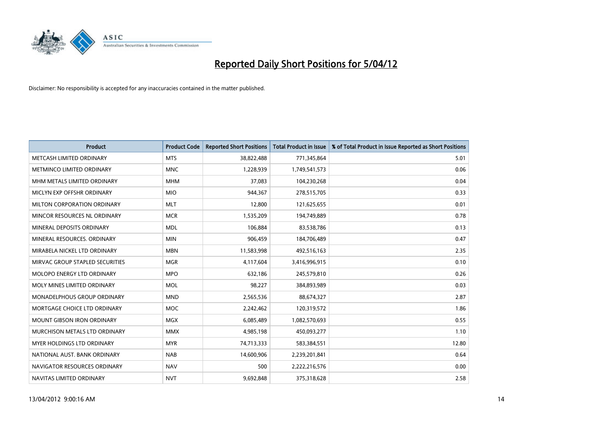

| <b>Product</b>                     | <b>Product Code</b> | <b>Reported Short Positions</b> | <b>Total Product in Issue</b> | % of Total Product in Issue Reported as Short Positions |
|------------------------------------|---------------------|---------------------------------|-------------------------------|---------------------------------------------------------|
| METCASH LIMITED ORDINARY           | <b>MTS</b>          | 38,822,488                      | 771,345,864                   | 5.01                                                    |
| <b>METMINCO LIMITED ORDINARY</b>   | <b>MNC</b>          | 1,228,939                       | 1,749,541,573                 | 0.06                                                    |
| MHM METALS LIMITED ORDINARY        | <b>MHM</b>          | 37,083                          | 104,230,268                   | 0.04                                                    |
| MICLYN EXP OFFSHR ORDINARY         | <b>MIO</b>          | 944,367                         | 278,515,705                   | 0.33                                                    |
| MILTON CORPORATION ORDINARY        | <b>MLT</b>          | 12,800                          | 121,625,655                   | 0.01                                                    |
| MINCOR RESOURCES NL ORDINARY       | <b>MCR</b>          | 1,535,209                       | 194,749,889                   | 0.78                                                    |
| MINERAL DEPOSITS ORDINARY          | <b>MDL</b>          | 106,884                         | 83,538,786                    | 0.13                                                    |
| MINERAL RESOURCES. ORDINARY        | <b>MIN</b>          | 906,459                         | 184,706,489                   | 0.47                                                    |
| MIRABELA NICKEL LTD ORDINARY       | <b>MBN</b>          | 11,583,998                      | 492,516,163                   | 2.35                                                    |
| MIRVAC GROUP STAPLED SECURITIES    | <b>MGR</b>          | 4,117,604                       | 3,416,996,915                 | 0.10                                                    |
| MOLOPO ENERGY LTD ORDINARY         | <b>MPO</b>          | 632,186                         | 245,579,810                   | 0.26                                                    |
| MOLY MINES LIMITED ORDINARY        | <b>MOL</b>          | 98,227                          | 384,893,989                   | 0.03                                                    |
| <b>MONADELPHOUS GROUP ORDINARY</b> | <b>MND</b>          | 2,565,536                       | 88,674,327                    | 2.87                                                    |
| MORTGAGE CHOICE LTD ORDINARY       | <b>MOC</b>          | 2,242,462                       | 120,319,572                   | 1.86                                                    |
| <b>MOUNT GIBSON IRON ORDINARY</b>  | MGX                 | 6,085,489                       | 1,082,570,693                 | 0.55                                                    |
| MURCHISON METALS LTD ORDINARY      | <b>MMX</b>          | 4,985,198                       | 450,093,277                   | 1.10                                                    |
| MYER HOLDINGS LTD ORDINARY         | <b>MYR</b>          | 74,713,333                      | 583,384,551                   | 12.80                                                   |
| NATIONAL AUST, BANK ORDINARY       | <b>NAB</b>          | 14,600,906                      | 2,239,201,841                 | 0.64                                                    |
| NAVIGATOR RESOURCES ORDINARY       | <b>NAV</b>          | 500                             | 2,222,216,576                 | 0.00                                                    |
| NAVITAS LIMITED ORDINARY           | <b>NVT</b>          | 9,692,848                       | 375,318,628                   | 2.58                                                    |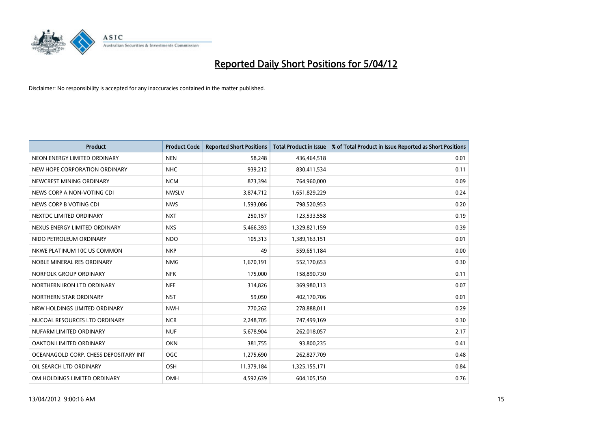

| <b>Product</b>                        | <b>Product Code</b> | <b>Reported Short Positions</b> | <b>Total Product in Issue</b> | % of Total Product in Issue Reported as Short Positions |
|---------------------------------------|---------------------|---------------------------------|-------------------------------|---------------------------------------------------------|
| NEON ENERGY LIMITED ORDINARY          | <b>NEN</b>          | 58,248                          | 436,464,518                   | 0.01                                                    |
| NEW HOPE CORPORATION ORDINARY         | <b>NHC</b>          | 939,212                         | 830,411,534                   | 0.11                                                    |
| NEWCREST MINING ORDINARY              | <b>NCM</b>          | 873,394                         | 764,960,000                   | 0.09                                                    |
| NEWS CORP A NON-VOTING CDI            | <b>NWSLV</b>        | 3,874,712                       | 1,651,829,229                 | 0.24                                                    |
| NEWS CORP B VOTING CDI                | <b>NWS</b>          | 1,593,086                       | 798,520,953                   | 0.20                                                    |
| NEXTDC LIMITED ORDINARY               | <b>NXT</b>          | 250,157                         | 123,533,558                   | 0.19                                                    |
| NEXUS ENERGY LIMITED ORDINARY         | <b>NXS</b>          | 5,466,393                       | 1,329,821,159                 | 0.39                                                    |
| NIDO PETROLEUM ORDINARY               | <b>NDO</b>          | 105,313                         | 1,389,163,151                 | 0.01                                                    |
| NKWE PLATINUM 10C US COMMON           | <b>NKP</b>          | 49                              | 559,651,184                   | 0.00                                                    |
| NOBLE MINERAL RES ORDINARY            | <b>NMG</b>          | 1,670,191                       | 552,170,653                   | 0.30                                                    |
| NORFOLK GROUP ORDINARY                | <b>NFK</b>          | 175,000                         | 158,890,730                   | 0.11                                                    |
| NORTHERN IRON LTD ORDINARY            | <b>NFE</b>          | 314,826                         | 369,980,113                   | 0.07                                                    |
| NORTHERN STAR ORDINARY                | <b>NST</b>          | 59,050                          | 402,170,706                   | 0.01                                                    |
| NRW HOLDINGS LIMITED ORDINARY         | <b>NWH</b>          | 770,262                         | 278,888,011                   | 0.29                                                    |
| NUCOAL RESOURCES LTD ORDINARY         | <b>NCR</b>          | 2,248,705                       | 747,499,169                   | 0.30                                                    |
| NUFARM LIMITED ORDINARY               | <b>NUF</b>          | 5,678,904                       | 262,018,057                   | 2.17                                                    |
| OAKTON LIMITED ORDINARY               | <b>OKN</b>          | 381,755                         | 93,800,235                    | 0.41                                                    |
| OCEANAGOLD CORP. CHESS DEPOSITARY INT | <b>OGC</b>          | 1,275,690                       | 262,827,709                   | 0.48                                                    |
| OIL SEARCH LTD ORDINARY               | OSH                 | 11,379,184                      | 1,325,155,171                 | 0.84                                                    |
| OM HOLDINGS LIMITED ORDINARY          | OMH                 | 4,592,639                       | 604,105,150                   | 0.76                                                    |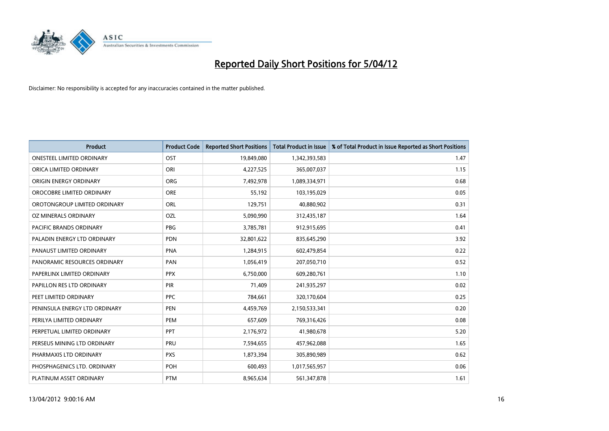

| <b>Product</b>                   | <b>Product Code</b> | <b>Reported Short Positions</b> | <b>Total Product in Issue</b> | % of Total Product in Issue Reported as Short Positions |
|----------------------------------|---------------------|---------------------------------|-------------------------------|---------------------------------------------------------|
| <b>ONESTEEL LIMITED ORDINARY</b> | OST                 | 19,849,080                      | 1,342,393,583                 | 1.47                                                    |
| ORICA LIMITED ORDINARY           | ORI                 | 4,227,525                       | 365,007,037                   | 1.15                                                    |
| ORIGIN ENERGY ORDINARY           | <b>ORG</b>          | 7,492,978                       | 1,089,334,971                 | 0.68                                                    |
| OROCOBRE LIMITED ORDINARY        | <b>ORE</b>          | 55,192                          | 103,195,029                   | 0.05                                                    |
| OROTONGROUP LIMITED ORDINARY     | ORL                 | 129,751                         | 40,880,902                    | 0.31                                                    |
| OZ MINERALS ORDINARY             | OZL                 | 5,090,990                       | 312,435,187                   | 1.64                                                    |
| PACIFIC BRANDS ORDINARY          | <b>PBG</b>          | 3,785,781                       | 912,915,695                   | 0.41                                                    |
| PALADIN ENERGY LTD ORDINARY      | <b>PDN</b>          | 32,801,622                      | 835,645,290                   | 3.92                                                    |
| PANAUST LIMITED ORDINARY         | <b>PNA</b>          | 1,284,915                       | 602,479,854                   | 0.22                                                    |
| PANORAMIC RESOURCES ORDINARY     | PAN                 | 1,056,419                       | 207,050,710                   | 0.52                                                    |
| PAPERLINX LIMITED ORDINARY       | <b>PPX</b>          | 6,750,000                       | 609,280,761                   | 1.10                                                    |
| PAPILLON RES LTD ORDINARY        | PIR                 | 71,409                          | 241,935,297                   | 0.02                                                    |
| PEET LIMITED ORDINARY            | <b>PPC</b>          | 784,661                         | 320,170,604                   | 0.25                                                    |
| PENINSULA ENERGY LTD ORDINARY    | <b>PEN</b>          | 4,459,769                       | 2,150,533,341                 | 0.20                                                    |
| PERILYA LIMITED ORDINARY         | PEM                 | 657,609                         | 769,316,426                   | 0.08                                                    |
| PERPETUAL LIMITED ORDINARY       | <b>PPT</b>          | 2,176,972                       | 41,980,678                    | 5.20                                                    |
| PERSEUS MINING LTD ORDINARY      | <b>PRU</b>          | 7,594,655                       | 457,962,088                   | 1.65                                                    |
| PHARMAXIS LTD ORDINARY           | <b>PXS</b>          | 1,873,394                       | 305,890,989                   | 0.62                                                    |
| PHOSPHAGENICS LTD. ORDINARY      | POH                 | 600,493                         | 1,017,565,957                 | 0.06                                                    |
| PLATINUM ASSET ORDINARY          | <b>PTM</b>          | 8,965,634                       | 561,347,878                   | 1.61                                                    |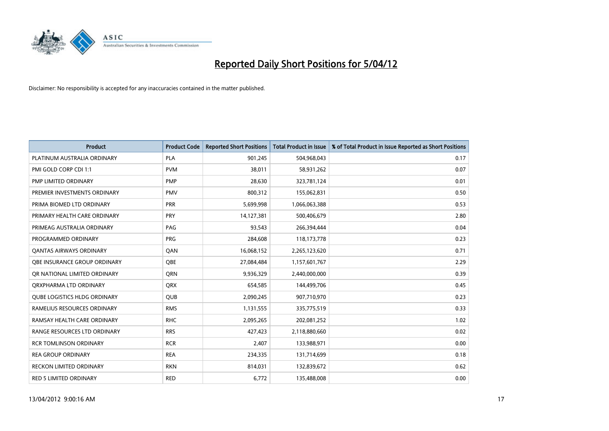

| <b>Product</b>                      | <b>Product Code</b> | <b>Reported Short Positions</b> | <b>Total Product in Issue</b> | % of Total Product in Issue Reported as Short Positions |
|-------------------------------------|---------------------|---------------------------------|-------------------------------|---------------------------------------------------------|
| PLATINUM AUSTRALIA ORDINARY         | <b>PLA</b>          | 901,245                         | 504,968,043                   | 0.17                                                    |
| PMI GOLD CORP CDI 1:1               | <b>PVM</b>          | 38,011                          | 58,931,262                    | 0.07                                                    |
| PMP LIMITED ORDINARY                | <b>PMP</b>          | 28,630                          | 323,781,124                   | 0.01                                                    |
| PREMIER INVESTMENTS ORDINARY        | <b>PMV</b>          | 800,312                         | 155,062,831                   | 0.50                                                    |
| PRIMA BIOMED LTD ORDINARY           | <b>PRR</b>          | 5,699,998                       | 1,066,063,388                 | 0.53                                                    |
| PRIMARY HEALTH CARE ORDINARY        | <b>PRY</b>          | 14,127,381                      | 500,406,679                   | 2.80                                                    |
| PRIMEAG AUSTRALIA ORDINARY          | PAG                 | 93,543                          | 266,394,444                   | 0.04                                                    |
| PROGRAMMED ORDINARY                 | <b>PRG</b>          | 284,608                         | 118, 173, 778                 | 0.23                                                    |
| <b>QANTAS AIRWAYS ORDINARY</b>      | QAN                 | 16,068,152                      | 2,265,123,620                 | 0.71                                                    |
| OBE INSURANCE GROUP ORDINARY        | QBE                 | 27,084,484                      | 1,157,601,767                 | 2.29                                                    |
| OR NATIONAL LIMITED ORDINARY        | QRN                 | 9,936,329                       | 2,440,000,000                 | 0.39                                                    |
| ORXPHARMA LTD ORDINARY              | <b>QRX</b>          | 654,585                         | 144,499,706                   | 0.45                                                    |
| <b>QUBE LOGISTICS HLDG ORDINARY</b> | <b>QUB</b>          | 2,090,245                       | 907,710,970                   | 0.23                                                    |
| RAMELIUS RESOURCES ORDINARY         | <b>RMS</b>          | 1,131,555                       | 335,775,519                   | 0.33                                                    |
| RAMSAY HEALTH CARE ORDINARY         | <b>RHC</b>          | 2,095,265                       | 202,081,252                   | 1.02                                                    |
| RANGE RESOURCES LTD ORDINARY        | <b>RRS</b>          | 427,423                         | 2,118,880,660                 | 0.02                                                    |
| <b>RCR TOMLINSON ORDINARY</b>       | <b>RCR</b>          | 2,407                           | 133,988,971                   | 0.00                                                    |
| <b>REA GROUP ORDINARY</b>           | <b>REA</b>          | 234,335                         | 131,714,699                   | 0.18                                                    |
| <b>RECKON LIMITED ORDINARY</b>      | <b>RKN</b>          | 814,031                         | 132,839,672                   | 0.62                                                    |
| RED 5 LIMITED ORDINARY              | <b>RED</b>          | 6,772                           | 135,488,008                   | 0.00                                                    |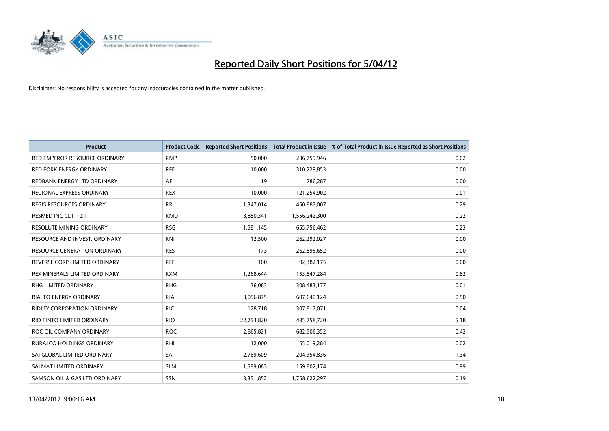

| <b>Product</b>                      | <b>Product Code</b> | <b>Reported Short Positions</b> | <b>Total Product in Issue</b> | % of Total Product in Issue Reported as Short Positions |
|-------------------------------------|---------------------|---------------------------------|-------------------------------|---------------------------------------------------------|
| RED EMPEROR RESOURCE ORDINARY       | <b>RMP</b>          | 50,000                          | 236,759,946                   | 0.02                                                    |
| <b>RED FORK ENERGY ORDINARY</b>     | <b>RFE</b>          | 10,000                          | 310,229,853                   | 0.00                                                    |
| REDBANK ENERGY LTD ORDINARY         | AEJ                 | 19                              | 786,287                       | 0.00                                                    |
| REGIONAL EXPRESS ORDINARY           | <b>REX</b>          | 10,000                          | 121,254,902                   | 0.01                                                    |
| <b>REGIS RESOURCES ORDINARY</b>     | <b>RRL</b>          | 1,347,014                       | 450,887,007                   | 0.29                                                    |
| RESMED INC CDI 10:1                 | <b>RMD</b>          | 3,880,341                       | 1,556,242,300                 | 0.22                                                    |
| <b>RESOLUTE MINING ORDINARY</b>     | <b>RSG</b>          | 1,581,145                       | 655,756,462                   | 0.23                                                    |
| RESOURCE AND INVEST. ORDINARY       | <b>RNI</b>          | 12,500                          | 262,292,027                   | 0.00                                                    |
| <b>RESOURCE GENERATION ORDINARY</b> | <b>RES</b>          | 173                             | 262,895,652                   | 0.00                                                    |
| REVERSE CORP LIMITED ORDINARY       | <b>REF</b>          | 100                             | 92,382,175                    | 0.00                                                    |
| REX MINERALS LIMITED ORDINARY       | <b>RXM</b>          | 1,268,644                       | 153,847,284                   | 0.82                                                    |
| RHG LIMITED ORDINARY                | <b>RHG</b>          | 36,083                          | 308,483,177                   | 0.01                                                    |
| <b>RIALTO ENERGY ORDINARY</b>       | <b>RIA</b>          | 3,056,875                       | 607,640,124                   | 0.50                                                    |
| <b>RIDLEY CORPORATION ORDINARY</b>  | <b>RIC</b>          | 128,718                         | 307,817,071                   | 0.04                                                    |
| RIO TINTO LIMITED ORDINARY          | <b>RIO</b>          | 22,753,820                      | 435,758,720                   | 5.18                                                    |
| ROC OIL COMPANY ORDINARY            | <b>ROC</b>          | 2,865,821                       | 682,506,352                   | 0.42                                                    |
| RURALCO HOLDINGS ORDINARY           | <b>RHL</b>          | 12,000                          | 55,019,284                    | 0.02                                                    |
| SAI GLOBAL LIMITED ORDINARY         | SAI                 | 2,769,609                       | 204,354,836                   | 1.34                                                    |
| SALMAT LIMITED ORDINARY             | <b>SLM</b>          | 1,589,083                       | 159,802,174                   | 0.99                                                    |
| SAMSON OIL & GAS LTD ORDINARY       | SSN                 | 3,351,852                       | 1,758,622,297                 | 0.19                                                    |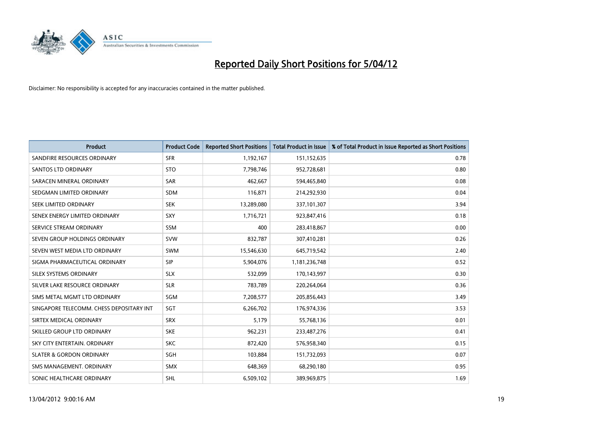

| <b>Product</b>                           | <b>Product Code</b> | <b>Reported Short Positions</b> | <b>Total Product in Issue</b> | % of Total Product in Issue Reported as Short Positions |
|------------------------------------------|---------------------|---------------------------------|-------------------------------|---------------------------------------------------------|
| SANDFIRE RESOURCES ORDINARY              | <b>SFR</b>          | 1,192,167                       | 151,152,635                   | 0.78                                                    |
| SANTOS LTD ORDINARY                      | <b>STO</b>          | 7,798,746                       | 952,728,681                   | 0.80                                                    |
| SARACEN MINERAL ORDINARY                 | SAR                 | 462,667                         | 594,465,840                   | 0.08                                                    |
| SEDGMAN LIMITED ORDINARY                 | <b>SDM</b>          | 116,871                         | 214,292,930                   | 0.04                                                    |
| SEEK LIMITED ORDINARY                    | <b>SEK</b>          | 13,289,080                      | 337,101,307                   | 3.94                                                    |
| SENEX ENERGY LIMITED ORDINARY            | SXY                 | 1,716,721                       | 923,847,416                   | 0.18                                                    |
| SERVICE STREAM ORDINARY                  | <b>SSM</b>          | 400                             | 283,418,867                   | 0.00                                                    |
| SEVEN GROUP HOLDINGS ORDINARY            | <b>SVW</b>          | 832,787                         | 307,410,281                   | 0.26                                                    |
| SEVEN WEST MEDIA LTD ORDINARY            | <b>SWM</b>          | 15,546,630                      | 645,719,542                   | 2.40                                                    |
| SIGMA PHARMACEUTICAL ORDINARY            | <b>SIP</b>          | 5,904,076                       | 1,181,236,748                 | 0.52                                                    |
| SILEX SYSTEMS ORDINARY                   | <b>SLX</b>          | 532,099                         | 170,143,997                   | 0.30                                                    |
| SILVER LAKE RESOURCE ORDINARY            | <b>SLR</b>          | 783,789                         | 220,264,064                   | 0.36                                                    |
| SIMS METAL MGMT LTD ORDINARY             | SGM                 | 7,208,577                       | 205,856,443                   | 3.49                                                    |
| SINGAPORE TELECOMM. CHESS DEPOSITARY INT | SGT                 | 6,266,702                       | 176,974,336                   | 3.53                                                    |
| SIRTEX MEDICAL ORDINARY                  | <b>SRX</b>          | 5,179                           | 55,768,136                    | 0.01                                                    |
| SKILLED GROUP LTD ORDINARY               | <b>SKE</b>          | 962,231                         | 233,487,276                   | 0.41                                                    |
| SKY CITY ENTERTAIN. ORDINARY             | <b>SKC</b>          | 872,420                         | 576,958,340                   | 0.15                                                    |
| <b>SLATER &amp; GORDON ORDINARY</b>      | <b>SGH</b>          | 103,884                         | 151,732,093                   | 0.07                                                    |
| SMS MANAGEMENT, ORDINARY                 | <b>SMX</b>          | 648,369                         | 68,290,180                    | 0.95                                                    |
| SONIC HEALTHCARE ORDINARY                | SHL                 | 6,509,102                       | 389,969,875                   | 1.69                                                    |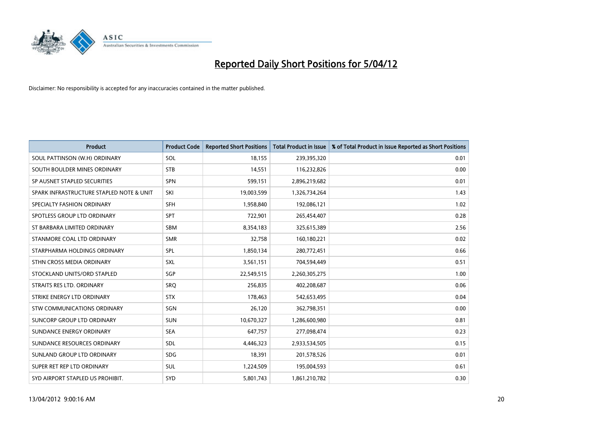

| <b>Product</b>                           | <b>Product Code</b> | <b>Reported Short Positions</b> | <b>Total Product in Issue</b> | % of Total Product in Issue Reported as Short Positions |
|------------------------------------------|---------------------|---------------------------------|-------------------------------|---------------------------------------------------------|
| SOUL PATTINSON (W.H) ORDINARY            | SOL                 | 18,155                          | 239,395,320                   | 0.01                                                    |
| SOUTH BOULDER MINES ORDINARY             | <b>STB</b>          | 14,551                          | 116,232,826                   | 0.00                                                    |
| SP AUSNET STAPLED SECURITIES             | <b>SPN</b>          | 599,151                         | 2,896,219,682                 | 0.01                                                    |
| SPARK INFRASTRUCTURE STAPLED NOTE & UNIT | SKI                 | 19,003,599                      | 1,326,734,264                 | 1.43                                                    |
| SPECIALTY FASHION ORDINARY               | <b>SFH</b>          | 1,958,840                       | 192,086,121                   | 1.02                                                    |
| SPOTLESS GROUP LTD ORDINARY              | <b>SPT</b>          | 722,901                         | 265,454,407                   | 0.28                                                    |
| ST BARBARA LIMITED ORDINARY              | SBM                 | 8,354,183                       | 325,615,389                   | 2.56                                                    |
| STANMORE COAL LTD ORDINARY               | <b>SMR</b>          | 32.758                          | 160,180,221                   | 0.02                                                    |
| STARPHARMA HOLDINGS ORDINARY             | <b>SPL</b>          | 1,850,134                       | 280,772,451                   | 0.66                                                    |
| STHN CROSS MEDIA ORDINARY                | <b>SXL</b>          | 3,561,151                       | 704,594,449                   | 0.51                                                    |
| STOCKLAND UNITS/ORD STAPLED              | SGP                 | 22,549,515                      | 2,260,305,275                 | 1.00                                                    |
| STRAITS RES LTD. ORDINARY                | SRO                 | 256,835                         | 402,208,687                   | 0.06                                                    |
| STRIKE ENERGY LTD ORDINARY               | <b>STX</b>          | 178,463                         | 542,653,495                   | 0.04                                                    |
| STW COMMUNICATIONS ORDINARY              | SGN                 | 26,120                          | 362,798,351                   | 0.00                                                    |
| SUNCORP GROUP LTD ORDINARY               | <b>SUN</b>          | 10,670,327                      | 1,286,600,980                 | 0.81                                                    |
| SUNDANCE ENERGY ORDINARY                 | <b>SEA</b>          | 647,757                         | 277,098,474                   | 0.23                                                    |
| SUNDANCE RESOURCES ORDINARY              | <b>SDL</b>          | 4,446,323                       | 2,933,534,505                 | 0.15                                                    |
| SUNLAND GROUP LTD ORDINARY               | <b>SDG</b>          | 18,391                          | 201,578,526                   | 0.01                                                    |
| SUPER RET REP LTD ORDINARY               | SUL                 | 1,224,509                       | 195,004,593                   | 0.61                                                    |
| SYD AIRPORT STAPLED US PROHIBIT.         | <b>SYD</b>          | 5,801,743                       | 1,861,210,782                 | 0.30                                                    |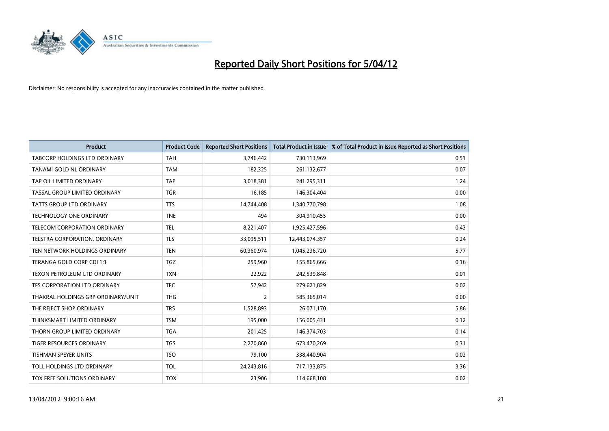

| <b>Product</b>                     | <b>Product Code</b> | <b>Reported Short Positions</b> | <b>Total Product in Issue</b> | % of Total Product in Issue Reported as Short Positions |
|------------------------------------|---------------------|---------------------------------|-------------------------------|---------------------------------------------------------|
| TABCORP HOLDINGS LTD ORDINARY      | <b>TAH</b>          | 3,746,442                       | 730,113,969                   | 0.51                                                    |
| TANAMI GOLD NL ORDINARY            | <b>TAM</b>          | 182,325                         | 261,132,677                   | 0.07                                                    |
| TAP OIL LIMITED ORDINARY           | <b>TAP</b>          | 3,018,381                       | 241,295,311                   | 1.24                                                    |
| TASSAL GROUP LIMITED ORDINARY      | <b>TGR</b>          | 16,185                          | 146,304,404                   | 0.00                                                    |
| <b>TATTS GROUP LTD ORDINARY</b>    | <b>TTS</b>          | 14,744,408                      | 1,340,770,798                 | 1.08                                                    |
| <b>TECHNOLOGY ONE ORDINARY</b>     | <b>TNE</b>          | 494                             | 304,910,455                   | 0.00                                                    |
| TELECOM CORPORATION ORDINARY       | <b>TEL</b>          | 8,221,407                       | 1,925,427,596                 | 0.43                                                    |
| TELSTRA CORPORATION, ORDINARY      | <b>TLS</b>          | 33,095,511                      | 12,443,074,357                | 0.24                                                    |
| TEN NETWORK HOLDINGS ORDINARY      | <b>TEN</b>          | 60,360,974                      | 1,045,236,720                 | 5.77                                                    |
| TERANGA GOLD CORP CDI 1:1          | <b>TGZ</b>          | 259,960                         | 155,865,666                   | 0.16                                                    |
| TEXON PETROLEUM LTD ORDINARY       | <b>TXN</b>          | 22,922                          | 242,539,848                   | 0.01                                                    |
| TFS CORPORATION LTD ORDINARY       | <b>TFC</b>          | 57,942                          | 279,621,829                   | 0.02                                                    |
| THAKRAL HOLDINGS GRP ORDINARY/UNIT | <b>THG</b>          | $\overline{2}$                  | 585,365,014                   | 0.00                                                    |
| THE REJECT SHOP ORDINARY           | <b>TRS</b>          | 1,528,893                       | 26,071,170                    | 5.86                                                    |
| THINKSMART LIMITED ORDINARY        | <b>TSM</b>          | 195,000                         | 156,005,431                   | 0.12                                                    |
| THORN GROUP LIMITED ORDINARY       | <b>TGA</b>          | 201,425                         | 146,374,703                   | 0.14                                                    |
| TIGER RESOURCES ORDINARY           | TGS                 | 2,270,860                       | 673,470,269                   | 0.31                                                    |
| <b>TISHMAN SPEYER UNITS</b>        | <b>TSO</b>          | 79,100                          | 338,440,904                   | 0.02                                                    |
| TOLL HOLDINGS LTD ORDINARY         | <b>TOL</b>          | 24,243,816                      | 717,133,875                   | 3.36                                                    |
| <b>TOX FREE SOLUTIONS ORDINARY</b> | <b>TOX</b>          | 23,906                          | 114,668,108                   | 0.02                                                    |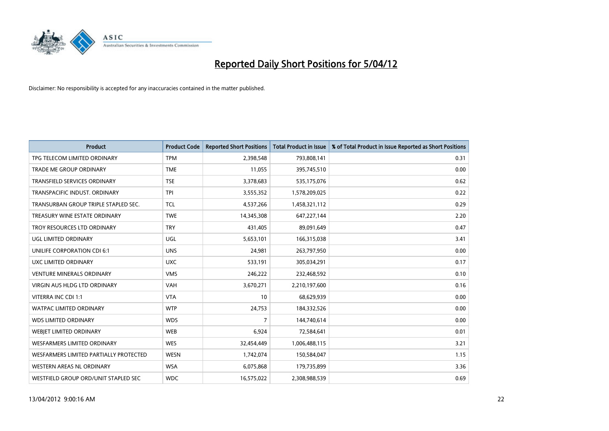

| <b>Product</b>                         | <b>Product Code</b> | <b>Reported Short Positions</b> | <b>Total Product in Issue</b> | % of Total Product in Issue Reported as Short Positions |
|----------------------------------------|---------------------|---------------------------------|-------------------------------|---------------------------------------------------------|
| TPG TELECOM LIMITED ORDINARY           | <b>TPM</b>          | 2,398,548                       | 793,808,141                   | 0.31                                                    |
| TRADE ME GROUP ORDINARY                | <b>TME</b>          | 11,055                          | 395,745,510                   | 0.00                                                    |
| <b>TRANSFIELD SERVICES ORDINARY</b>    | <b>TSE</b>          | 3,378,683                       | 535,175,076                   | 0.62                                                    |
| TRANSPACIFIC INDUST. ORDINARY          | <b>TPI</b>          | 3,555,352                       | 1,578,209,025                 | 0.22                                                    |
| TRANSURBAN GROUP TRIPLE STAPLED SEC.   | <b>TCL</b>          | 4,537,266                       | 1,458,321,112                 | 0.29                                                    |
| TREASURY WINE ESTATE ORDINARY          | <b>TWE</b>          | 14,345,308                      | 647,227,144                   | 2.20                                                    |
| TROY RESOURCES LTD ORDINARY            | <b>TRY</b>          | 431,405                         | 89,091,649                    | 0.47                                                    |
| UGL LIMITED ORDINARY                   | UGL                 | 5,653,101                       | 166,315,038                   | 3.41                                                    |
| UNILIFE CORPORATION CDI 6:1            | <b>UNS</b>          | 24,981                          | 263,797,950                   | 0.00                                                    |
| UXC LIMITED ORDINARY                   | <b>UXC</b>          | 533,191                         | 305,034,291                   | 0.17                                                    |
| VENTURE MINERALS ORDINARY              | <b>VMS</b>          | 246,222                         | 232,468,592                   | 0.10                                                    |
| <b>VIRGIN AUS HLDG LTD ORDINARY</b>    | <b>VAH</b>          | 3,670,271                       | 2,210,197,600                 | 0.16                                                    |
| VITERRA INC CDI 1:1                    | <b>VTA</b>          | 10                              | 68,629,939                    | 0.00                                                    |
| <b>WATPAC LIMITED ORDINARY</b>         | <b>WTP</b>          | 24,753                          | 184,332,526                   | 0.00                                                    |
| <b>WDS LIMITED ORDINARY</b>            | <b>WDS</b>          | $\overline{7}$                  | 144,740,614                   | 0.00                                                    |
| WEBJET LIMITED ORDINARY                | <b>WEB</b>          | 6,924                           | 72,584,641                    | 0.01                                                    |
| WESFARMERS LIMITED ORDINARY            | <b>WES</b>          | 32,454,449                      | 1,006,488,115                 | 3.21                                                    |
| WESFARMERS LIMITED PARTIALLY PROTECTED | <b>WESN</b>         | 1,742,074                       | 150,584,047                   | 1.15                                                    |
| WESTERN AREAS NL ORDINARY              | <b>WSA</b>          | 6,075,868                       | 179,735,899                   | 3.36                                                    |
| WESTFIELD GROUP ORD/UNIT STAPLED SEC   | <b>WDC</b>          | 16,575,022                      | 2,308,988,539                 | 0.69                                                    |